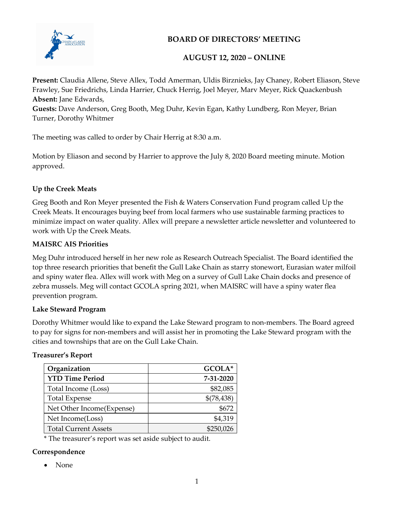

# BOARD OF DIRECTORS' MEETING

# AUGUST 12, 2020 – ONLINE

Present: Claudia Allene, Steve Allex, Todd Amerman, Uldis Birznieks, Jay Chaney, Robert Eliason, Steve Frawley, Sue Friedrichs, Linda Harrier, Chuck Herrig, Joel Meyer, Marv Meyer, Rick Quackenbush Absent: Jane Edwards,

Guests: Dave Anderson, Greg Booth, Meg Duhr, Kevin Egan, Kathy Lundberg, Ron Meyer, Brian Turner, Dorothy Whitmer

The meeting was called to order by Chair Herrig at 8:30 a.m.

Motion by Eliason and second by Harrier to approve the July 8, 2020 Board meeting minute. Motion approved.

## Up the Creek Meats

Greg Booth and Ron Meyer presented the Fish & Waters Conservation Fund program called Up the Creek Meats. It encourages buying beef from local farmers who use sustainable farming practices to minimize impact on water quality. Allex will prepare a newsletter article newsletter and volunteered to work with Up the Creek Meats.

## MAISRC AIS Priorities

Meg Duhr introduced herself in her new role as Research Outreach Specialist. The Board identified the top three research priorities that benefit the Gull Lake Chain as starry stonewort, Eurasian water milfoil and spiny water flea. Allex will work with Meg on a survey of Gull Lake Chain docks and presence of zebra mussels. Meg will contact GCOLA spring 2021, when MAISRC will have a spiny water flea prevention program.

## Lake Steward Program

Dorothy Whitmer would like to expand the Lake Steward program to non-members. The Board agreed to pay for signs for non-members and will assist her in promoting the Lake Steward program with the cities and townships that are on the Gull Lake Chain.

## Treasurer's Report

| Organization                | GCOLA*     |
|-----------------------------|------------|
| <b>YTD Time Period</b>      | 7-31-2020  |
| Total Income (Loss)         | \$82,085   |
| <b>Total Expense</b>        | \$(78,438) |
| Net Other Income(Expense)   | \$672      |
| Net Income(Loss)            | \$4,319    |
| <b>Total Current Assets</b> | \$250,026  |

\* The treasurer's report was set aside subject to audit.

## Correspondence

• None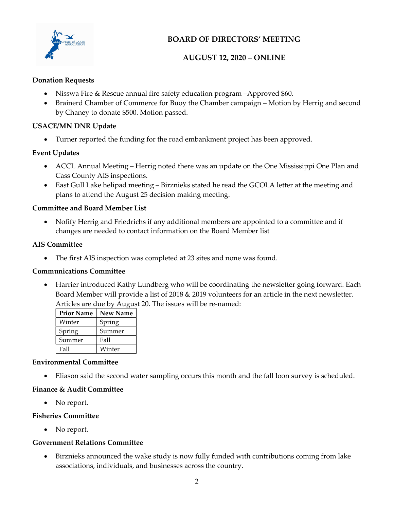

# BOARD OF DIRECTORS' MEETING

## AUGUST 12, 2020 – ONLINE

## Donation Requests

- Nisswa Fire & Rescue annual fire safety education program –Approved \$60.
- Brainerd Chamber of Commerce for Buoy the Chamber campaign Motion by Herrig and second by Chaney to donate \$500. Motion passed.

## USACE/MN DNR Update

Turner reported the funding for the road embankment project has been approved.

## Event Updates

- ACCL Annual Meeting Herrig noted there was an update on the One Mississippi One Plan and Cass County AIS inspections.
- East Gull Lake helipad meeting Birznieks stated he read the GCOLA letter at the meeting and plans to attend the August 25 decision making meeting.

## Committee and Board Member List

 Nofify Herrig and Friedrichs if any additional members are appointed to a committee and if changes are needed to contact information on the Board Member list

## AIS Committee

The first AIS inspection was completed at 23 sites and none was found.

## Communications Committee

 Harrier introduced Kathy Lundberg who will be coordinating the newsletter going forward. Each Board Member will provide a list of 2018 & 2019 volunteers for an article in the next newsletter. Articles are due by August 20. The issues will be re-named:

| <b>Prior Name</b> | <b>New Name</b> |
|-------------------|-----------------|
| Winter            | Spring          |
| Spring            | Summer          |
| Summer            | Fall            |
| Fall              | Winter          |

## Environmental Committee

Eliason said the second water sampling occurs this month and the fall loon survey is scheduled.

## Finance & Audit Committee

• No report.

## Fisheries Committee

• No report.

## Government Relations Committee

 Birznieks announced the wake study is now fully funded with contributions coming from lake associations, individuals, and businesses across the country.